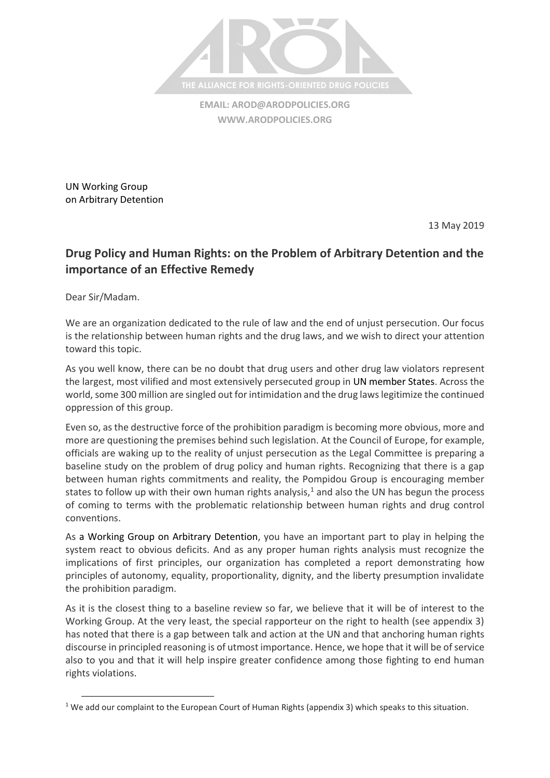

**EMAIL: [AROD@ARODPOLICIES.ORG](mailto:AROD@ARODPOLICIES.ORG) [WWW.ARODPOLICIES.ORG](http://www.arodpolicies.org/)**

UN Working Group on Arbitrary Detention

13 May 2019

## **Drug Policy and Human Rights: on the Problem of Arbitrary Detention and the importance of an Effective Remedy**

Dear Sir/Madam.

 $\overline{\phantom{a}}$ 

We are an organization dedicated to the rule of law and the end of unjust persecution. Our focus is the relationship between human rights and the drug laws, and we wish to direct your attention toward this topic.

As you well know, there can be no doubt that drug users and other drug law violators represent the largest, most vilified and most extensively persecuted group in UN member States. Across the world, some 300 million are singled out for intimidation and the drug laws legitimize the continued oppression of this group.

Even so, as the destructive force of the prohibition paradigm is becoming more obvious, more and more are questioning the premises behind such legislation. At the Council of Europe, for example, officials are waking up to the reality of unjust persecution as the Legal Committee is preparing a baseline study on the problem of drug policy and human rights. Recognizing that there is a gap between human rights commitments and reality, the Pompidou Group is encouraging member states to follow up with their own human rights analysis, $1$  and also the UN has begun the process of coming to terms with the problematic relationship between human rights and drug control conventions.

As a Working Group on Arbitrary Detention, you have an important part to play in helping the system react to obvious deficits. And as any proper human rights analysis must recognize the implications of first principles, our organization has completed a report demonstrating how principles of autonomy, equality, proportionality, dignity, and the liberty presumption invalidate the prohibition paradigm.

As it is the closest thing to a baseline review so far, we believe that it will be of interest to the Working Group. At the very least, the special rapporteur on the right to health (see appendix 3) has noted that there is a gap between talk and action at the UN and that anchoring human rights discourse in principled reasoning is of utmost importance. Hence, we hope that it will be of service also to you and that it will help inspire greater confidence among those fighting to end human rights violations.

<sup>&</sup>lt;sup>1</sup> We add our complaint to the European Court of Human Rights (appendix 3) which speaks to this situation.